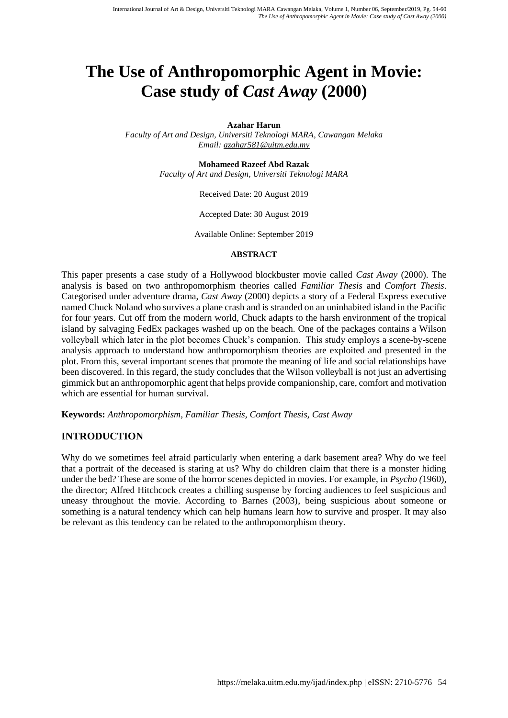# **The Use of Anthropomorphic Agent in Movie: Case study of** *Cast Away* **(2000)**

#### **Azahar Harun**

*Faculty of Art and Design, Universiti Teknologi MARA, Cawangan Melaka Email: [azahar581@uitm.edu.my](mailto:azahar581@uitm.edu.my)*

#### **Mohameed Razeef Abd Razak**

*Faculty of Art and Design, Universiti Teknologi MARA*

Received Date: 20 August 2019

Accepted Date: 30 August 2019

Available Online: September 2019

#### **ABSTRACT**

This paper presents a case study of a Hollywood blockbuster movie called *Cast Away* (2000). The analysis is based on two anthropomorphism theories called *Familiar Thesis* and *Comfort Thesis*. Categorised under adventure drama, *Cast Away* (2000) depicts a story of a Federal Express executive named Chuck Noland who survives a plane crash and is stranded on an uninhabited island in the Pacific for four years. Cut off from the modern world, Chuck adapts to the harsh environment of the tropical island by salvaging FedEx packages washed up on the beach. One of the packages contains a Wilson volleyball which later in the plot becomes Chuck's companion. This study employs a scene-by-scene analysis approach to understand how anthropomorphism theories are exploited and presented in the plot. From this, several important scenes that promote the meaning of life and social relationships have been discovered. In this regard, the study concludes that the Wilson volleyball is not just an advertising gimmick but an anthropomorphic agent that helps provide companionship, care, comfort and motivation which are essential for human survival.

**Keywords:** *Anthropomorphism, Familiar Thesis, Comfort Thesis, Cast Away*

#### **INTRODUCTION**

Why do we sometimes feel afraid particularly when entering a dark basement area? Why do we feel that a portrait of the deceased is staring at us? Why do children claim that there is a monster hiding under the bed? These are some of the horror scenes depicted in movies. For example, in *Psycho (*1960), the director; Alfred Hitchcock creates a chilling suspense by forcing audiences to feel suspicious and uneasy throughout the movie. According to Barnes (2003), being suspicious about someone or something is a natural tendency which can help humans learn how to survive and prosper. It may also be relevant as this tendency can be related to the anthropomorphism theory.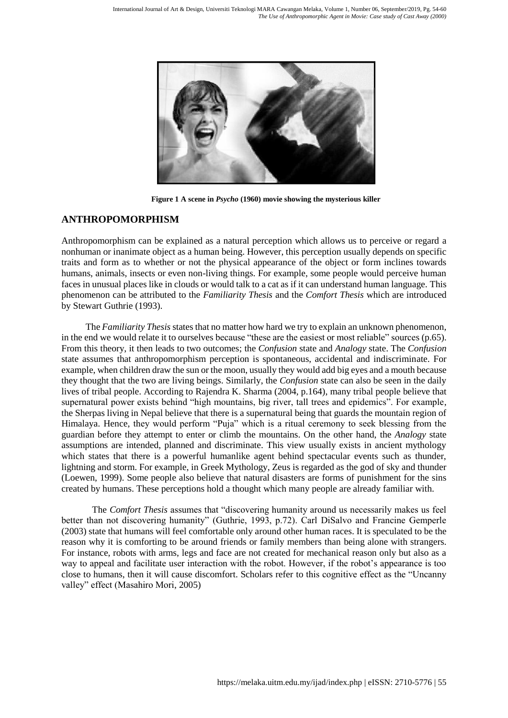

**Figure 1 A scene in** *Psycho* **(1960) movie showing the mysterious killer**

## **ANTHROPOMORPHISM**

Anthropomorphism can be explained as a natural perception which allows us to perceive or regard a nonhuman or inanimate object as a human being. However, this perception usually depends on specific traits and form as to whether or not the physical appearance of the object or form inclines towards humans, animals, insects or even non-living things. For example, some people would perceive human faces in unusual places like in clouds or would talk to a cat as if it can understand human language. This phenomenon can be attributed to the *Familiarity Thesis* and the *Comfort Thesis* which are introduced by Stewart Guthrie (1993).

The *Familiarity Thesis* states that no matter how hard we try to explain an unknown phenomenon, in the end we would relate it to ourselves because "these are the easiest or most reliable" sources (p.65). From this theory, it then leads to two outcomes; the *Confusion* state and *Analogy* state. The *Confusion* state assumes that anthropomorphism perception is spontaneous, accidental and indiscriminate. For example, when children draw the sun or the moon, usually they would add big eyes and a mouth because they thought that the two are living beings. Similarly, the *Confusion* state can also be seen in the daily lives of tribal people. According to Rajendra K. Sharma (2004, p.164), many tribal people believe that supernatural power exists behind "high mountains, big river, tall trees and epidemics". For example, the Sherpas living in Nepal believe that there is a supernatural being that guards the mountain region of Himalaya. Hence, they would perform "Puja" which is a ritual ceremony to seek blessing from the guardian before they attempt to enter or climb the mountains. On the other hand, the *Analogy* state assumptions are intended, planned and discriminate. This view usually exists in ancient mythology which states that there is a powerful humanlike agent behind spectacular events such as thunder, lightning and storm. For example, in Greek Mythology, Zeus is regarded as the god of sky and thunder (Loewen, 1999). Some people also believe that natural disasters are forms of punishment for the sins created by humans. These perceptions hold a thought which many people are already familiar with.

The *Comfort Thesis* assumes that "discovering humanity around us necessarily makes us feel better than not discovering humanity" (Guthrie, 1993, p.72). Carl DiSalvo and Francine Gemperle (2003) state that humans will feel comfortable only around other human races. It is speculated to be the reason why it is comforting to be around friends or family members than being alone with strangers. For instance, robots with arms, legs and face are not created for mechanical reason only but also as a way to appeal and facilitate user interaction with the robot. However, if the robot's appearance is too close to humans, then it will cause discomfort. Scholars refer to this cognitive effect as the "Uncanny valley" effect (Masahiro Mori, 2005)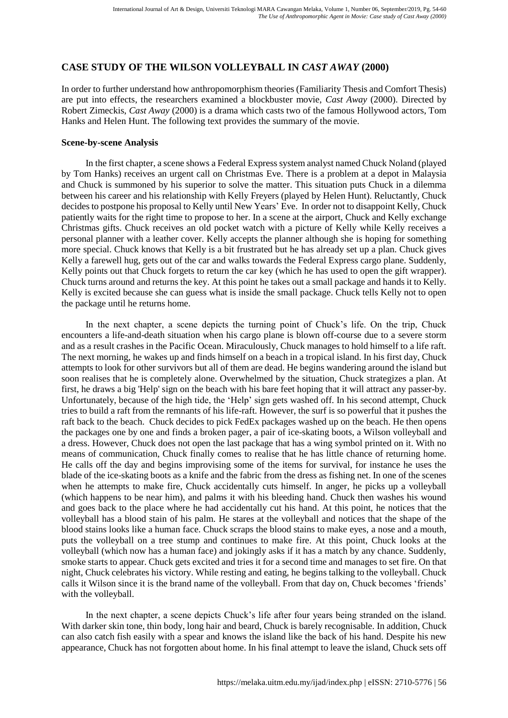## **CASE STUDY OF THE WILSON VOLLEYBALL IN** *CAST AWAY* **(2000)**

In order to further understand how anthropomorphism theories (Familiarity Thesis and Comfort Thesis) are put into effects, the researchers examined a blockbuster movie, *Cast Away* (2000). Directed by Robert Zimeckis, *Cast Away* (2000) is a drama which casts two of the famous Hollywood actors, Tom Hanks and Helen Hunt. The following text provides the summary of the movie.

#### **Scene-by-scene Analysis**

In the first chapter, a scene shows a Federal Express system analyst named Chuck Noland (played by Tom Hanks) receives an urgent call on Christmas Eve. There is a problem at a depot in Malaysia and Chuck is summoned by his superior to solve the matter. This situation puts Chuck in a dilemma between his career and his relationship with Kelly Freyers (played by Helen Hunt). Reluctantly, Chuck decides to postpone his proposal to Kelly until New Years' Eve. In order not to disappoint Kelly, Chuck patiently waits for the right time to propose to her. In a scene at the airport, Chuck and Kelly exchange Christmas gifts. Chuck receives an old pocket watch with a picture of Kelly while Kelly receives a personal planner with a leather cover. Kelly accepts the planner although she is hoping for something more special. Chuck knows that Kelly is a bit frustrated but he has already set up a plan. Chuck gives Kelly a farewell hug, gets out of the car and walks towards the Federal Express cargo plane. Suddenly, Kelly points out that Chuck forgets to return the car key (which he has used to open the gift wrapper). Chuck turns around and returns the key. At this point he takes out a small package and hands it to Kelly. Kelly is excited because she can guess what is inside the small package. Chuck tells Kelly not to open the package until he returns home.

In the next chapter, a scene depicts the turning point of Chuck's life. On the trip, Chuck encounters a life-and-death situation when his cargo plane is blown off-course due to a severe storm and as a result crashes in the Pacific Ocean. Miraculously, Chuck manages to hold himself to a life raft. The next morning, he wakes up and finds himself on a beach in a tropical island. In his first day, Chuck attempts to look for other survivors but all of them are dead. He begins wandering around the island but soon realises that he is completely alone. Overwhelmed by the situation, Chuck strategizes a plan. At first, he draws a big 'Help' sign on the beach with his bare feet hoping that it will attract any passer-by. Unfortunately, because of the high tide, the 'Help' sign gets washed off. In his second attempt, Chuck tries to build a raft from the remnants of his life-raft. However, the surf is so powerful that it pushes the raft back to the beach. Chuck decides to pick FedEx packages washed up on the beach. He then opens the packages one by one and finds a broken pager, a pair of ice-skating boots, a Wilson volleyball and a dress. However, Chuck does not open the last package that has a wing symbol printed on it. With no means of communication, Chuck finally comes to realise that he has little chance of returning home. He calls off the day and begins improvising some of the items for survival, for instance he uses the blade of the ice-skating boots as a knife and the fabric from the dress as fishing net. In one of the scenes when he attempts to make fire, Chuck accidentally cuts himself. In anger, he picks up a volleyball (which happens to be near him), and palms it with his bleeding hand. Chuck then washes his wound and goes back to the place where he had accidentally cut his hand. At this point, he notices that the volleyball has a blood stain of his palm. He stares at the volleyball and notices that the shape of the blood stains looks like a human face. Chuck scraps the blood stains to make eyes, a nose and a mouth, puts the volleyball on a tree stump and continues to make fire. At this point, Chuck looks at the volleyball (which now has a human face) and jokingly asks if it has a match by any chance. Suddenly, smoke starts to appear. Chuck gets excited and tries it for a second time and manages to set fire. On that night, Chuck celebrates his victory. While resting and eating, he begins talking to the volleyball. Chuck calls it Wilson since it is the brand name of the volleyball. From that day on, Chuck becomes 'friends' with the volleyball.

In the next chapter, a scene depicts Chuck's life after four years being stranded on the island. With darker skin tone, thin body, long hair and beard, Chuck is barely recognisable. In addition, Chuck can also catch fish easily with a spear and knows the island like the back of his hand. Despite his new appearance, Chuck has not forgotten about home. In his final attempt to leave the island, Chuck sets off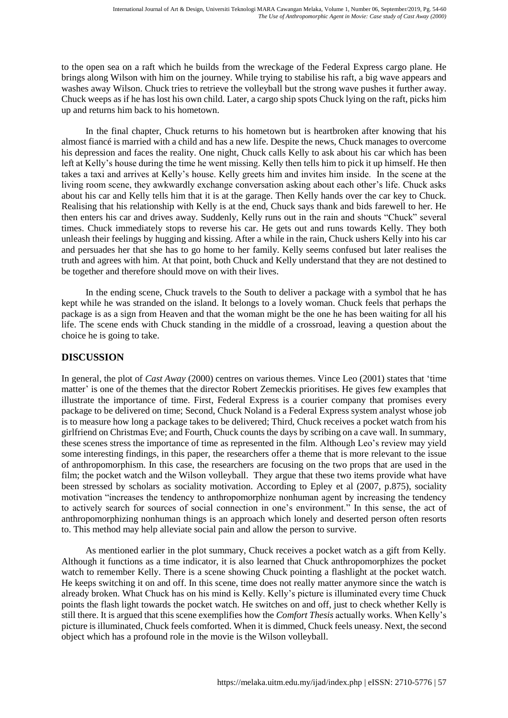to the open sea on a raft which he builds from the wreckage of the Federal Express cargo plane. He brings along Wilson with him on the journey. While trying to stabilise his raft, a big wave appears and washes away Wilson. Chuck tries to retrieve the volleyball but the strong wave pushes it further away. Chuck weeps as if he has lost his own child. Later, a cargo ship spots Chuck lying on the raft, picks him up and returns him back to his hometown.

In the final chapter, Chuck returns to his hometown but is heartbroken after knowing that his almost fiancé is married with a child and has a new life. Despite the news, Chuck manages to overcome his depression and faces the reality. One night, Chuck calls Kelly to ask about his car which has been left at Kelly's house during the time he went missing. Kelly then tells him to pick it up himself. He then takes a taxi and arrives at Kelly's house. Kelly greets him and invites him inside. In the scene at the living room scene, they awkwardly exchange conversation asking about each other's life. Chuck asks about his car and Kelly tells him that it is at the garage. Then Kelly hands over the car key to Chuck. Realising that his relationship with Kelly is at the end, Chuck says thank and bids farewell to her. He then enters his car and drives away. Suddenly, Kelly runs out in the rain and shouts "Chuck" several times. Chuck immediately stops to reverse his car. He gets out and runs towards Kelly. They both unleash their feelings by hugging and kissing. After a while in the rain, Chuck ushers Kelly into his car and persuades her that she has to go home to her family. Kelly seems confused but later realises the truth and agrees with him. At that point, both Chuck and Kelly understand that they are not destined to be together and therefore should move on with their lives.

In the ending scene, Chuck travels to the South to deliver a package with a symbol that he has kept while he was stranded on the island. It belongs to a lovely woman. Chuck feels that perhaps the package is as a sign from Heaven and that the woman might be the one he has been waiting for all his life. The scene ends with Chuck standing in the middle of a crossroad, leaving a question about the choice he is going to take.

## **DISCUSSION**

In general, the plot of *Cast Away* (2000) centres on various themes. Vince Leo (2001) states that 'time matter' is one of the themes that the director Robert Zemeckis prioritises. He gives few examples that illustrate the importance of time. First, Federal Express is a courier company that promises every package to be delivered on time; Second, Chuck Noland is a Federal Express system analyst whose job is to measure how long a package takes to be delivered; Third, Chuck receives a pocket watch from his girlfriend on Christmas Eve; and Fourth, Chuck counts the days by scribing on a cave wall. In summary, these scenes stress the importance of time as represented in the film. Although Leo's review may yield some interesting findings, in this paper, the researchers offer a theme that is more relevant to the issue of anthropomorphism. In this case, the researchers are focusing on the two props that are used in the film; the pocket watch and the Wilson volleyball. They argue that these two items provide what have been stressed by scholars as sociality motivation. According to Epley et al (2007, p.875), sociality motivation "increases the tendency to anthropomorphize nonhuman agent by increasing the tendency to actively search for sources of social connection in one's environment." In this sense, the act of anthropomorphizing nonhuman things is an approach which lonely and deserted person often resorts to. This method may help alleviate social pain and allow the person to survive.

As mentioned earlier in the plot summary, Chuck receives a pocket watch as a gift from Kelly. Although it functions as a time indicator, it is also learned that Chuck anthropomorphizes the pocket watch to remember Kelly. There is a scene showing Chuck pointing a flashlight at the pocket watch. He keeps switching it on and off. In this scene, time does not really matter anymore since the watch is already broken. What Chuck has on his mind is Kelly. Kelly's picture is illuminated every time Chuck points the flash light towards the pocket watch. He switches on and off, just to check whether Kelly is still there. It is argued that this scene exemplifies how the *Comfort Thesis* actually works. When Kelly's picture is illuminated, Chuck feels comforted. When it is dimmed, Chuck feels uneasy. Next, the second object which has a profound role in the movie is the Wilson volleyball.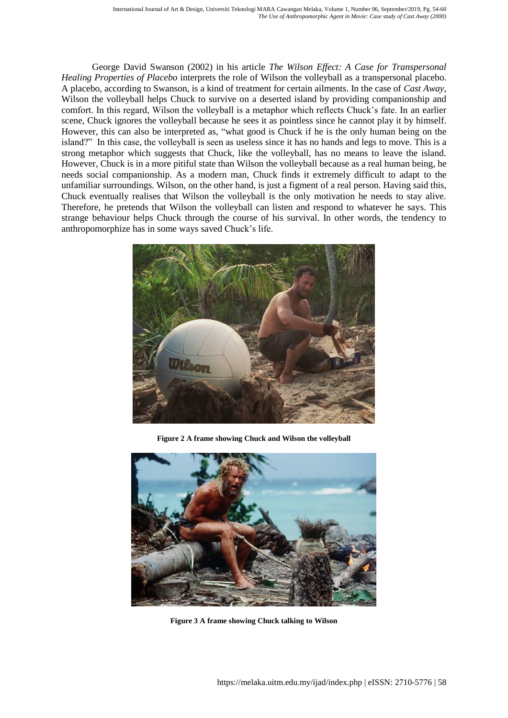George David Swanson (2002) in his article *The Wilson Effect: A Case for Transpersonal Healing Properties of Placebo* interprets the role of Wilson the volleyball as a transpersonal placebo. A placebo, according to Swanson, is a kind of treatment for certain ailments. In the case of *Cast Away*, Wilson the volleyball helps Chuck to survive on a deserted island by providing companionship and comfort. In this regard, Wilson the volleyball is a metaphor which reflects Chuck's fate. In an earlier scene, Chuck ignores the volleyball because he sees it as pointless since he cannot play it by himself. However, this can also be interpreted as, "what good is Chuck if he is the only human being on the island?" In this case, the volleyball is seen as useless since it has no hands and legs to move. This is a strong metaphor which suggests that Chuck, like the volleyball, has no means to leave the island. However, Chuck is in a more pitiful state than Wilson the volleyball because as a real human being, he needs social companionship. As a modern man, Chuck finds it extremely difficult to adapt to the unfamiliar surroundings. Wilson, on the other hand, is just a figment of a real person. Having said this, Chuck eventually realises that Wilson the volleyball is the only motivation he needs to stay alive. Therefore, he pretends that Wilson the volleyball can listen and respond to whatever he says. This strange behaviour helps Chuck through the course of his survival. In other words, the tendency to anthropomorphize has in some ways saved Chuck's life.



**Figure 2 A frame showing Chuck and Wilson the volleyball** 



**Figure 3 A frame showing Chuck talking to Wilson**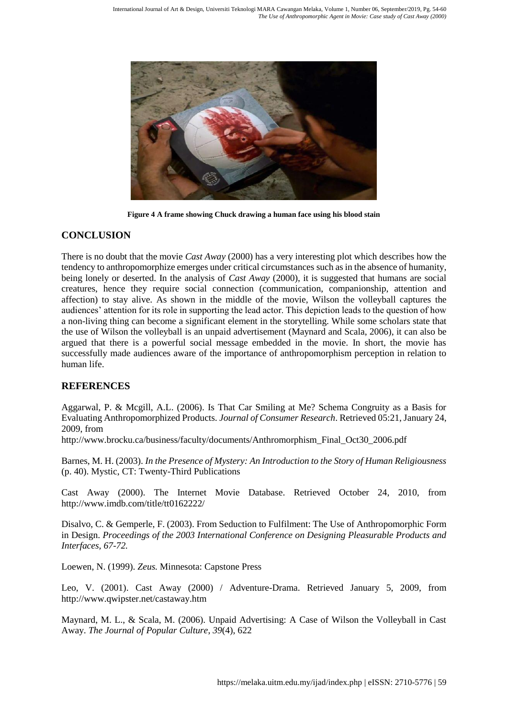

**Figure 4 A frame showing Chuck drawing a human face using his blood stain**

### **CONCLUSION**

There is no doubt that the movie *Cast Away* (2000) has a very interesting plot which describes how the tendency to anthropomorphize emerges under critical circumstances such as in the absence of humanity, being lonely or deserted. In the analysis of *Cast Away* (2000), it is suggested that humans are social creatures, hence they require social connection (communication, companionship, attention and affection) to stay alive. As shown in the middle of the movie, Wilson the volleyball captures the audiences' attention for its role in supporting the lead actor. This depiction leads to the question of how a non-living thing can become a significant element in the storytelling. While some scholars state that the use of Wilson the volleyball is an unpaid advertisement (Maynard and Scala, 2006), it can also be argued that there is a powerful social message embedded in the movie. In short, the movie has successfully made audiences aware of the importance of anthropomorphism perception in relation to human life.

## **REFERENCES**

Aggarwal, P. & Mcgill, A.L. (2006). Is That Car Smiling at Me? Schema Congruity as a Basis for Evaluating Anthropomorphized Products*. Journal of Consumer Research*. Retrieved 05:21, January 24, 2009, from

http://www.brocku.ca/business/faculty/documents/Anthromorphism\_Final\_Oct30\_2006.pdf

Barnes, M. H. (2003). *In the Presence of Mystery: An Introduction to the Story of Human Religiousness* (p. 40). Mystic, CT: Twenty-Third Publications

Cast Away (2000). The Internet Movie Database. Retrieved October 24, 2010, from http://www.imdb.com/title/tt0162222/

Disalvo, C. & Gemperle, F. (2003). From Seduction to Fulfilment: The Use of Anthropomorphic Form in Design. *Proceedings of the 2003 International Conference on Designing Pleasurable Products and Interfaces, 67-72.*

Loewen, N. (1999). *Zeus.* Minnesota: Capstone Press

Leo, V. (2001). Cast Away (2000) / Adventure-Drama. Retrieved January 5, 2009, from http://www.qwipster.net/castaway.htm

Maynard, M. L., & Scala, M. (2006). Unpaid Advertising: A Case of Wilson the Volleyball in Cast Away. *The Journal of Popular Culture*, *39*(4), 622